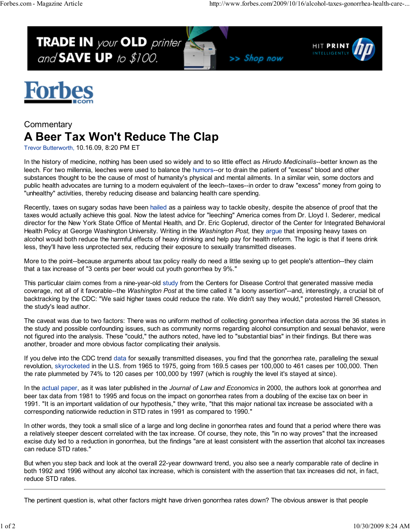





## **Commentary** A Beer Tax Won't Reduce The Clap

Trevor Butterworth, 10.16.09, 8:20 PM ET

In the history of medicine, nothing has been used so widely and to so little effect as Hirudo Medicinalis--better known as the leech. For two millennia, leeches were used to balance the humors--or to drain the patient of "excess" blood and other substances thought to be the cause of most of humanity's physical and mental ailments. In a similar vein, some doctors and public health advocates are turning to a modern equivalent of the leech--taxes--in order to draw "excess" money from going to "unhealthy" activities, thereby reducing disease and balancing health care spending.

Recently, taxes on sugary sodas have been hailed as a painless way to tackle obesity, despite the absence of proof that the taxes would actually achieve this goal. Now the latest advice for "leeching" America comes from Dr. Lloyd I. Sederer, medical director for the New York State Office of Mental Health, and Dr. Eric Goplerud, director of the Center for Integrated Behavioral Health Policy at George Washington University. Writing in the Washington Post, they argue that imposing heavy taxes on alcohol would both reduce the harmful effects of heavy drinking and help pay for health reform. The logic is that if teens drink less, they'll have less unprotected sex, reducing their exposure to sexually transmitted diseases.

More to the point--because arguments about tax policy really do need a little sexing up to get people's attention--they claim that a tax increase of "3 cents per beer would cut youth gonorrhea by 9%."

This particular claim comes from a nine-year-old study from the Centers for Disease Control that generated massive media coverage, not all of it favorable--the Washington Post at the time called it "a loony assertion"--and, interestingly, a crucial bit of backtracking by the CDC: "We said higher taxes could reduce the rate. We didn't say they would," protested Harrell Chesson, the study's lead author.

The caveat was due to two factors: There was no uniform method of collecting gonorrhea infection data across the 36 states in the study and possible confounding issues, such as community norms regarding alcohol consumption and sexual behavior, were not figured into the analysis. These "could," the authors noted, have led to "substantial bias" in their findings. But there was another, broader and more obvious factor complicating their analysis.

If you delve into the CDC trend data for sexually transmitted diseases, you find that the gonorrhea rate, paralleling the sexual revolution, skyrocketed in the U.S. from 1965 to 1975, going from 169.5 cases per 100,000 to 461 cases per 100,000. Then the rate plummeted by 74% to 120 cases per 100,000 by 1997 (which is roughly the level it's stayed at since).

In the actual paper, as it was later published in the Journal of Law and Economics in 2000, the authors look at gonorrhea and beer tax data from 1981 to 1995 and focus on the impact on gonorrhea rates from a doubling of the excise tax on beer in 1991. "It is an important validation of our hypothesis," they write, "that this major national tax increase be associated with a corresponding nationwide reduction in STD rates in 1991 as compared to 1990."

In other words, they took a small slice of a large and long decline in gonorrhea rates and found that a period where there was a relatively steeper descent correlated with the tax increase. Of course, they note, this "in no way proves" that the increased excise duty led to a reduction in gonorrhea, but the findings "are at least consistent with the assertion that alcohol tax increases can reduce STD rates."

But when you step back and look at the overall 22-year downward trend, you also see a nearly comparable rate of decline in both 1992 and 1996 without any alcohol tax increase, which is consistent with the assertion that tax increases did not, in fact, reduce STD rates.

The pertinent question is, what other factors might have driven gonorrhea rates down? The obvious answer is that people